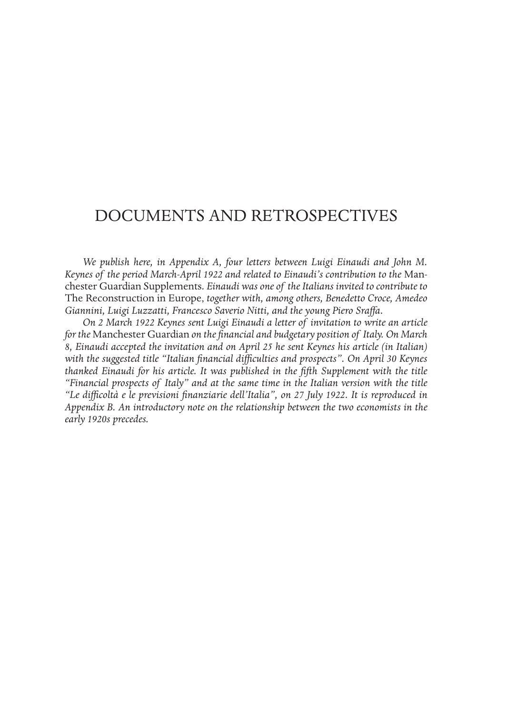# DOCUMENTS AND RETROSPECTIVES

*We publish here, in Appendix A, four letters between Luigi Einaudi and John M. Keynes of the period March-April 1922 and related to Einaudi's contribution to the* Manchester Guardian Supplements*. Einaudi was one of the Italians invited to contribute to*  The Reconstruction in Europe, *together with, among others, Benedetto Croce, Amedeo Giannini, Luigi Luzzatti, Francesco Saverio Nitti, and the young Piero Sraffa.* 

*On 2 March 1922 Keynes sent Luigi Einaudi a letter of invitation to write an article for the* Manchester Guardian *on the financial and budgetary position of Italy. On March 8, Einaudi accepted the invitation and on April 25 he sent Keynes his article (in Italian) with the suggested title "Italian financial difficulties and prospects". On April 30 Keynes thanked Einaudi for his article. It was published in the fifth Supplement with the title "Financial prospects of Italy" and at the same time in the Italian version with the title "Le difficoltà e le previsioni finanziarie dell'Italia", on 27 July 1922. It is reproduced in Appendix B. An introductory note on the relationship between the two economists in the early 1920s precedes.*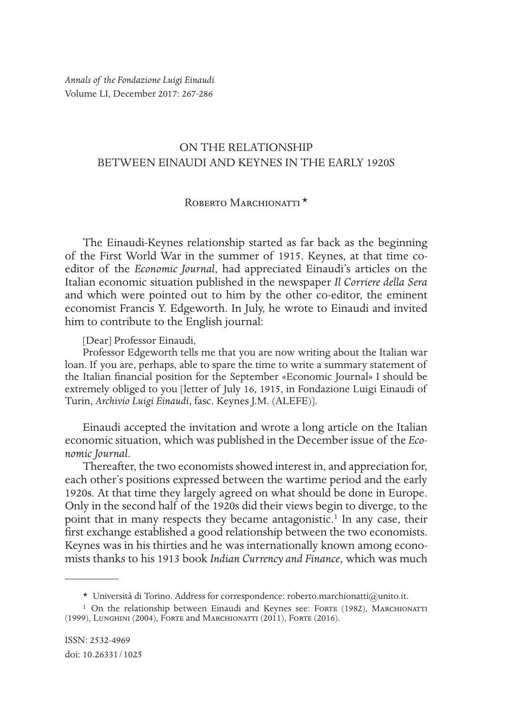*Annals of the Fondazione Luigi Einaudi* Volume LI, December 2017: 267-286

# ON THE RELATIONSHIP BETWEEN EINAUDI AND KEYNES IN THE EARLY 1920S

# ROBERTO MARCHIONATTI<sup>\*</sup>

The Einaudi-Keynes relationship started as far back as the beginning of the First World War in the summer of 1915. Keynes, at that time coeditor of the *Economic Journal*, had appreciated Einaudi's articles on the Italian economic situation published in the newspaper *Il Corriere della Sera* and which were pointed out to him by the other co-editor, the eminent economist Francis Y. Edgeworth. In July, he wrote to Einaudi and invited him to contribute to the English journal:

[Dear] Professor Einaudi,

Professor Edgeworth tells me that you are now writing about the Italian war loan. If you are, perhaps, able to spare the time to write a summary statement of the Italian financial position for the September «Economic Journal» I should be extremely obliged to you [letter of July 16, 1915, in Fondazione Luigi Einaudi of Turin, *Archivio Luigi Einaudi*, fasc. Keynes J.M. (ALEFE)].

Einaudi accepted the invitation and wrote a long article on the Italian economic situation, which was published in the December issue of the *Economic Journal*.

Thereafter, the two economists showed interest in, and appreciation for, each other's positions expressed between the wartime period and the early 1920s. At that time they largely agreed on what should be done in Europe. Only in the second half of the 1920s did their views begin to diverge, to the point that in many respects they became antagonistic.<sup>1</sup> In any case, their first exchange established a good relationship between the two economists. Keynes was in his thirties and he was internationally known among economists thanks to his 1913 book *Indian Currency and Finance*, which was much

<sup>\*</sup> Università di Torino. Address for correspondence: roberto.marchionatti@unito.it.

<sup>&</sup>lt;sup>1</sup> On the relationship between Einaudi and Keynes see: Forte (1982), MARCHIONATTI (1999), Lunghini (2004), Forte and Marchionatti (2011), Forte (2016).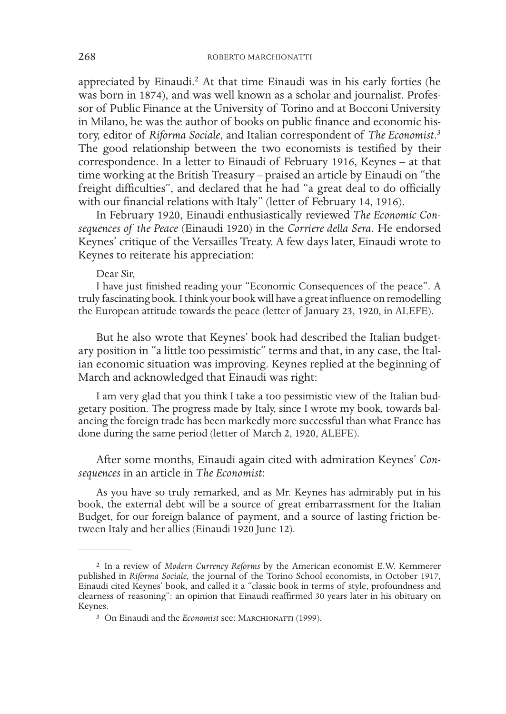appreciated by Einaudi.<sup>2</sup> At that time Einaudi was in his early forties (he was born in 1874), and was well known as a scholar and journalist. Professor of Public Finance at the University of Torino and at Bocconi University in Milano, he was the author of books on public finance and economic history, editor of *Riforma Sociale*, and Italian correspondent of *The Economist*. 3 The good relationship between the two economists is testified by their correspondence. In a letter to Einaudi of February 1916, Keynes – at that time working at the British Treasury *–* praised an article by Einaudi on "the freight difficulties", and declared that he had "a great deal to do officially with our financial relations with Italy" (letter of February 14, 1916).

In February 1920, Einaudi enthusiastically reviewed *The Economic Consequences of the Peace* (Einaudi 1920) in the *Corriere della Sera*. He endorsed Keynes' critique of the Versailles Treaty. A few days later, Einaudi wrote to Keynes to reiterate his appreciation:

## Dear Sir,

I have just finished reading your "Economic Consequences of the peace". A truly fascinating book. I think your book will have a great influence on remodelling the European attitude towards the peace (letter of January 23, 1920, in ALEFE).

But he also wrote that Keynes' book had described the Italian budgetary position in "a little too pessimistic" terms and that, in any case, the Italian economic situation was improving. Keynes replied at the beginning of March and acknowledged that Einaudi was right:

I am very glad that you think I take a too pessimistic view of the Italian budgetary position. The progress made by Italy, since I wrote my book, towards balancing the foreign trade has been markedly more successful than what France has done during the same period (letter of March 2, 1920, ALEFE).

After some months, Einaudi again cited with admiration Keynes' *Consequences* in an article in *The Economist*:

As you have so truly remarked, and as Mr. Keynes has admirably put in his book, the external debt will be a source of great embarrassment for the Italian Budget, for our foreign balance of payment, and a source of lasting friction between Italy and her allies (Einaudi 1920 June 12).

<sup>2</sup> In a review of *Modern Currency Reforms* by the American economist E.W. Kemmerer published in *Riforma Sociale*, the journal of the Torino School economists, in October 1917, Einaudi cited Keynes' book, and called it a "classic book in terms of style, profoundness and clearness of reasoning": an opinion that Einaudi reaffirmed 30 years later in his obituary on Keynes.

<sup>&</sup>lt;sup>3</sup> On Einaudi and the *Economist* see: MARCHIONATTI (1999).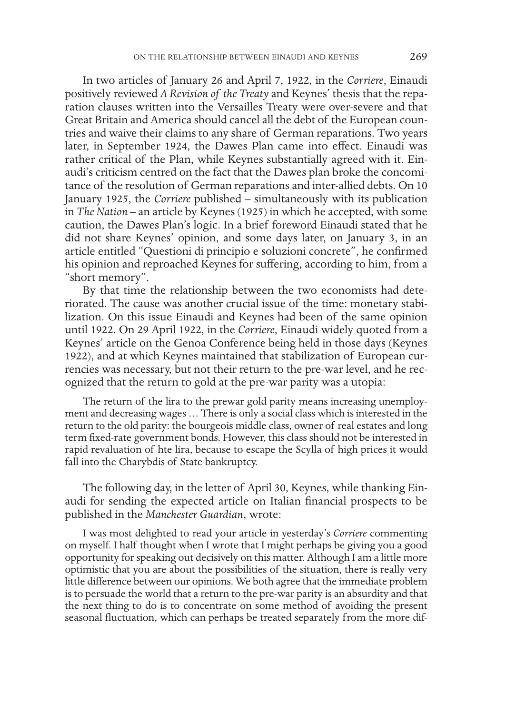In two articles of January 26 and April 7, 1922, in the *Corriere*, Einaudi positively reviewed *A Revision of the Treaty* and Keynes' thesis that the reparation clauses written into the Versailles Treaty were over-severe and that Great Britain and America should cancel all the debt of the European countries and waive their claims to any share of German reparations. Two years later, in September 1924, the Dawes Plan came into effect. Einaudi was rather critical of the Plan, while Keynes substantially agreed with it. Einaudi's criticism centred on the fact that the Dawes plan broke the concomitance of the resolution of German reparations and inter-allied debts. On 10 January 1925, the *Corriere* published – simultaneously with its publication in *The Nation* – an article by Keynes (1925) in which he accepted, with some caution, the Dawes Plan's logic. In a brief foreword Einaudi stated that he did not share Keynes' opinion, and some days later, on January 3, in an article entitled "Questioni di principio e soluzioni concrete", he confirmed his opinion and reproached Keynes for suffering, according to him, from a "short memory".

By that time the relationship between the two economists had deteriorated. The cause was another crucial issue of the time: monetary stabilization. On this issue Einaudi and Keynes had been of the same opinion until 1922. On 29 April 1922, in the *Corriere*, Einaudi widely quoted from a Keynes' article on the Genoa Conference being held in those days (Keynes 1922), and at which Keynes maintained that stabilization of European currencies was necessary, but not their return to the pre-war level, and he recognized that the return to gold at the pre-war parity was a utopia:

The return of the lira to the prewar gold parity means increasing unemployment and decreasing wages … There is only a social class which is interested in the return to the old parity: the bourgeois middle class, owner of real estates and long term fixed-rate government bonds. However, this class should not be interested in rapid revaluation of hte lira, because to escape the Scylla of high prices it would fall into the Charybdis of State bankruptcy.

The following day, in the letter of April 30, Keynes, while thanking Einaudi for sending the expected article on Italian financial prospects to be published in the *Manchester Guardian*, wrote:

I was most delighted to read your article in yesterday's *Corriere* commenting on myself. I half thought when I wrote that I might perhaps be giving you a good opportunity for speaking out decisively on this matter. Although I am a little more optimistic that you are about the possibilities of the situation, there is really very little difference between our opinions. We both agree that the immediate problem is to persuade the world that a return to the pre-war parity is an absurdity and that the next thing to do is to concentrate on some method of avoiding the present seasonal fluctuation, which can perhaps be treated separately from the more dif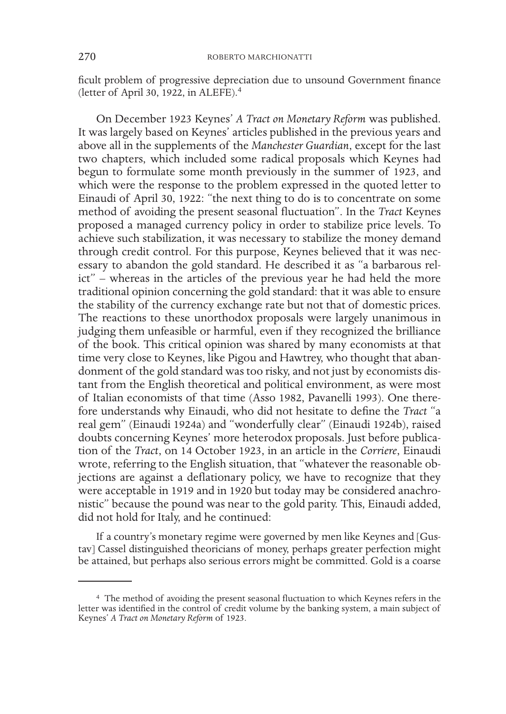ficult problem of progressive depreciation due to unsound Government finance (letter of April 30, 1922, in ALEFE).4

On December 1923 Keynes' *A Tract on Monetary Reform* was published. It was largely based on Keynes' articles published in the previous years and above all in the supplements of the *Manchester Guardian*, except for the last two chapters, which included some radical proposals which Keynes had begun to formulate some month previously in the summer of 1923, and which were the response to the problem expressed in the quoted letter to Einaudi of April 30, 1922: "the next thing to do is to concentrate on some method of avoiding the present seasonal fluctuation". In the *Tract* Keynes proposed a managed currency policy in order to stabilize price levels. To achieve such stabilization, it was necessary to stabilize the money demand through credit control. For this purpose, Keynes believed that it was necessary to abandon the gold standard. He described it as "a barbarous relict" – whereas in the articles of the previous year he had held the more traditional opinion concerning the gold standard: that it was able to ensure the stability of the currency exchange rate but not that of domestic prices. The reactions to these unorthodox proposals were largely unanimous in judging them unfeasible or harmful, even if they recognized the brilliance of the book. This critical opinion was shared by many economists at that time very close to Keynes, like Pigou and Hawtrey, who thought that abandonment of the gold standard was too risky, and not just by economists distant from the English theoretical and political environment, as were most of Italian economists of that time (Asso 1982, Pavanelli 1993). One therefore understands why Einaudi, who did not hesitate to define the *Tract* "a real gem" (Einaudi 1924a) and "wonderfully clear" (Einaudi 1924b), raised doubts concerning Keynes' more heterodox proposals. Just before publication of the *Tract*, on 14 October 1923, in an article in the *Corriere*, Einaudi wrote, referring to the English situation, that "whatever the reasonable objections are against a deflationary policy, we have to recognize that they were acceptable in 1919 and in 1920 but today may be considered anachronistic" because the pound was near to the gold parity. This, Einaudi added, did not hold for Italy, and he continued:

If a country's monetary regime were governed by men like Keynes and [Gustav] Cassel distinguished theoricians of money, perhaps greater perfection might be attained, but perhaps also serious errors might be committed. Gold is a coarse

<sup>4</sup> The method of avoiding the present seasonal fluctuation to which Keynes refers in the letter was identified in the control of credit volume by the banking system, a main subject of Keynes' *A Tract on Monetary Reform* of 1923.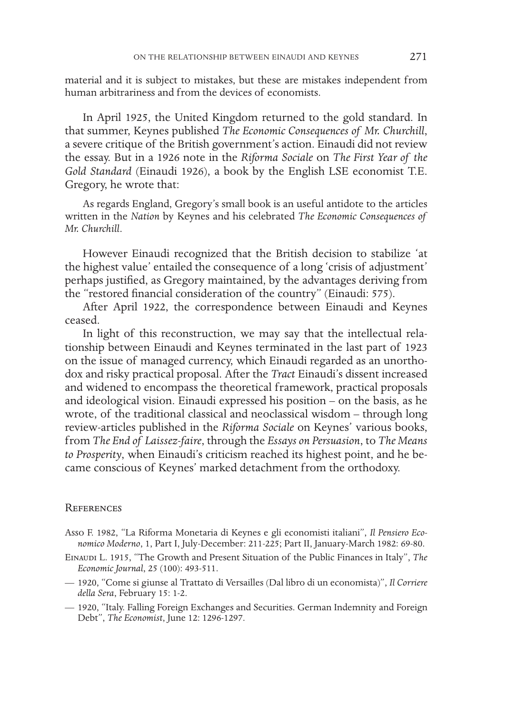material and it is subject to mistakes, but these are mistakes independent from human arbitrariness and from the devices of economists.

In April 1925, the United Kingdom returned to the gold standard. In that summer, Keynes published *The Economic Consequences of Mr. Churchill*, a severe critique of the British government's action. Einaudi did not review the essay. But in a 1926 note in the *Riforma Sociale* on *The First Year of the Gold Standard* (Einaudi 1926), a book by the English LSE economist T.E. Gregory, he wrote that:

As regards England, Gregory's small book is an useful antidote to the articles written in the *Nation* by Keynes and his celebrated *The Economic Consequences of Mr. Churchill*.

However Einaudi recognized that the British decision to stabilize 'at the highest value' entailed the consequence of a long 'crisis of adjustment' perhaps justified, as Gregory maintained, by the advantages deriving from the "restored financial consideration of the country" (Einaudi: 575).

After April 1922, the correspondence between Einaudi and Keynes ceased.

In light of this reconstruction, we may say that the intellectual relationship between Einaudi and Keynes terminated in the last part of 1923 on the issue of managed currency, which Einaudi regarded as an unorthodox and risky practical proposal. After the *Tract* Einaudi's dissent increased and widened to encompass the theoretical framework, practical proposals and ideological vision. Einaudi expressed his position – on the basis, as he wrote, of the traditional classical and neoclassical wisdom – through long review-articles published in the *Riforma Sociale* on Keynes' various books, from *The End of Laissez-faire*, through the *Essays on Persuasion*, to *The Means to Prosperity*, when Einaudi's criticism reached its highest point, and he became conscious of Keynes' marked detachment from the orthodoxy.

### **REFERENCES**

- Asso F. 1982, "La Riforma Monetaria di Keynes e gli economisti italiani", *Il Pensiero Economico Moderno*, 1, Part I, July-December: 211-225; Part II, January-March 1982: 69-80.
- EINAUDI L. 1915, "The Growth and Present Situation of the Public Finances in Italy", *The Economic Journal*, 25 (100): 493-511.
- 1920, "Come si giunse al Trattato di Versailles (Dal libro di un economista)", *Il Corriere della Sera*, February 15: 1-2.
- 1920, "Italy. Falling Foreign Exchanges and Securities. German Indemnity and Foreign Debt", *The Economist*, June 12: 1296-1297.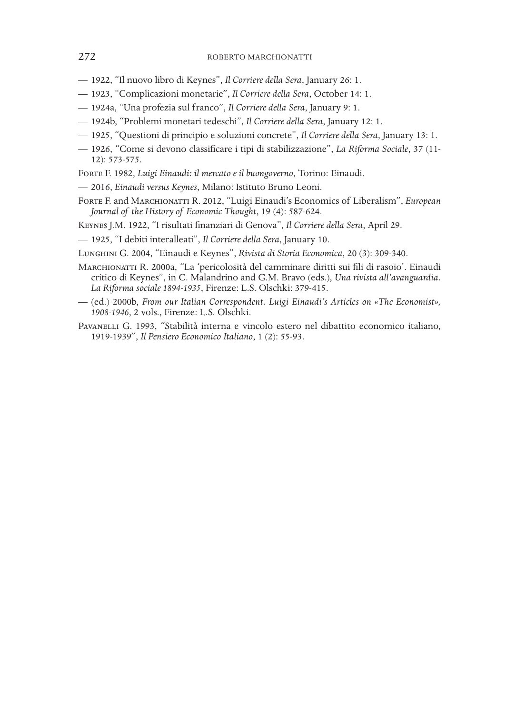- 1922, "Il nuovo libro di Keynes", *Il Corriere della Sera*, January 26: 1.
- 1923, "Complicazioni monetarie", *Il Corriere della Sera*, October 14: 1.
- 1924a, "Una profezia sul franco", *Il Corriere della Sera*, January 9: 1.
- 1924b, "Problemi monetari tedeschi", *Il Corriere della Sera*, January 12: 1.
- 1925, "Questioni di principio e soluzioni concrete", *Il Corriere della Sera*, January 13: 1.
- 1926, "Come si devono classificare i tipi di stabilizzazione", *La Riforma Sociale*, 37 (11- 12): 573-575.
- Forte F. 1982, *Luigi Einaudi: il mercato e il buongoverno*, Torino: Einaudi.
- 2016, *Einaudi versus Keynes*, Milano: Istituto Bruno Leoni.
- Forte F. and Marchionatti R. 2012, "Luigi Einaudi's Economics of Liberalism", *European Journal of the History of Economic Thought*, 19 (4): 587-624.
- Keynes J.M. 1922, "I risultati finanziari di Genova", *Il Corriere della Sera*, April 29.
- 1925, "I debiti interalleati", *Il Corriere della Sera*, January 10.
- Lunghini G. 2004, "Einaudi e Keynes", *Rivista di Storia Economica*, 20 (3): 309-340.
- MARCHIONATTI R. 2000a, "La 'pericolosità del camminare diritti sui fili di rasoio'. Einaudi critico di Keynes", in C. Malandrino and G.M. Bravo (eds.), *Una rivista all'avanguardia. La Riforma sociale 1894-1935*, Firenze: L.S. Olschki: 379-415.
- (ed.) 2000b, *From our Italian Correspondent. Luigi Einaudi's Articles on «The Economist», 1908-1946*, 2 vols., Firenze: L.S. Olschki.
- Pavanelli G. 1993, "Stabilità interna e vincolo estero nel dibattito economico italiano, 1919-1939", *Il Pensiero Economico Italiano*, 1 (2): 55-93.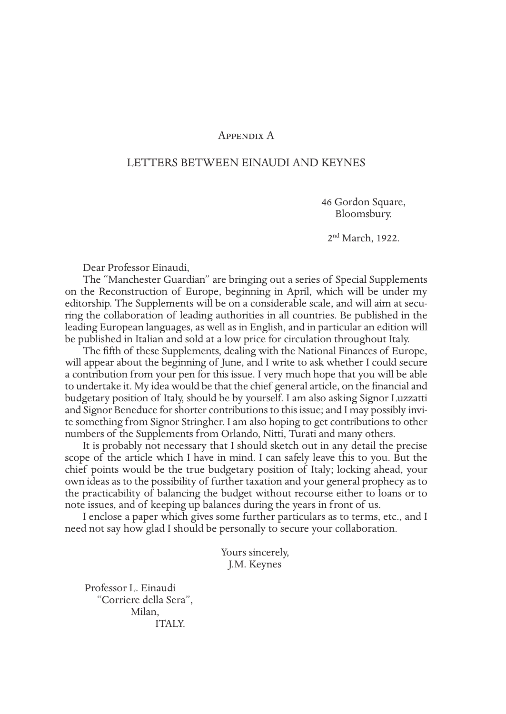# Appendix A

## LETTERS BETWEEN EINAUDI AND KEYNES

46 Gordon Square, Bloomsbury.

2<sup>nd</sup> March, 1922.

Dear Professor Einaudi,

The "Manchester Guardian" are bringing out a series of Special Supplements on the Reconstruction of Europe, beginning in April, which will be under my editorship. The Supplements will be on a considerable scale, and will aim at securing the collaboration of leading authorities in all countries. Be published in the leading European languages, as well as in English, and in particular an edition will be published in Italian and sold at a low price for circulation throughout Italy.

The fifth of these Supplements, dealing with the National Finances of Europe, will appear about the beginning of June, and I write to ask whether I could secure a contribution from your pen for this issue. I very much hope that you will be able to undertake it. My idea would be that the chief general article, on the financial and budgetary position of Italy, should be by yourself. I am also asking Signor Luzzatti and Signor Beneduce for shorter contributions to this issue; and I may possibly invite something from Signor Stringher. I am also hoping to get contributions to other numbers of the Supplements from Orlando, Nitti, Turati and many others.

It is probably not necessary that I should sketch out in any detail the precise scope of the article which I have in mind. I can safely leave this to you. But the chief points would be the true budgetary position of Italy; locking ahead, your own ideas as to the possibility of further taxation and your general prophecy as to the practicability of balancing the budget without recourse either to loans or to note issues, and of keeping up balances during the years in front of us.

I enclose a paper which gives some further particulars as to terms, etc., and I need not say how glad I should be personally to secure your collaboration.

> Yours sincerely, J.M. Keynes

Professor L. Einaudi "Corriere della Sera", Milan, ITALY.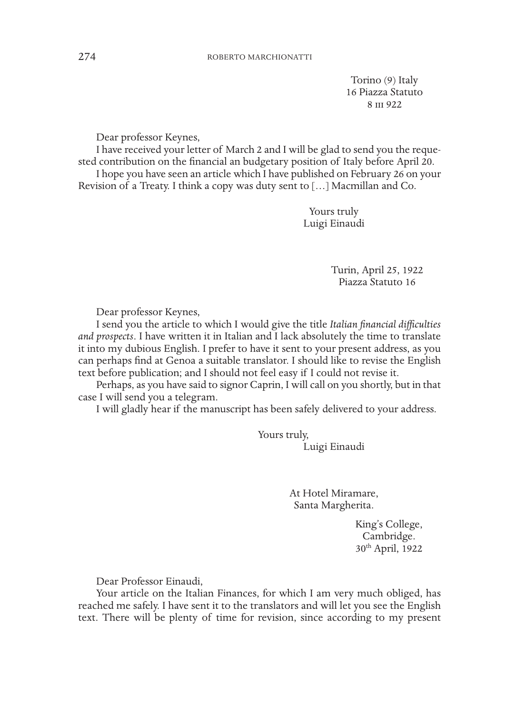Torino (9) Italy 16 Piazza Statuto 8 III 922

Dear professor Keynes,

I have received your letter of March 2 and I will be glad to send you the requested contribution on the financial an budgetary position of Italy before April 20. I hope you have seen an article which I have published on February 26 on your Revision of a Treaty. I think a copy was duty sent to […] Macmillan and Co.

> Yours truly Luigi Einaudi

> > Turin, April 25, 1922 Piazza Statuto 16

Dear professor Keynes,

I send you the article to which I would give the title *Italian financial difficulties and prospects*. I have written it in Italian and I lack absolutely the time to translate it into my dubious English. I prefer to have it sent to your present address, as you can perhaps find at Genoa a suitable translator. I should like to revise the English text before publication; and I should not feel easy if I could not revise it.

Perhaps, as you have said to signor Caprin, I will call on you shortly, but in that case I will send you a telegram.

I will gladly hear if the manuscript has been safely delivered to your address.

Yours truly, Luigi Einaudi

> At Hotel Miramare, Santa Margherita.

> > King's College, Cambridge. 30th April, 1922

Dear Professor Einaudi,

Your article on the Italian Finances, for which I am very much obliged, has reached me safely. I have sent it to the translators and will let you see the English text. There will be plenty of time for revision, since according to my present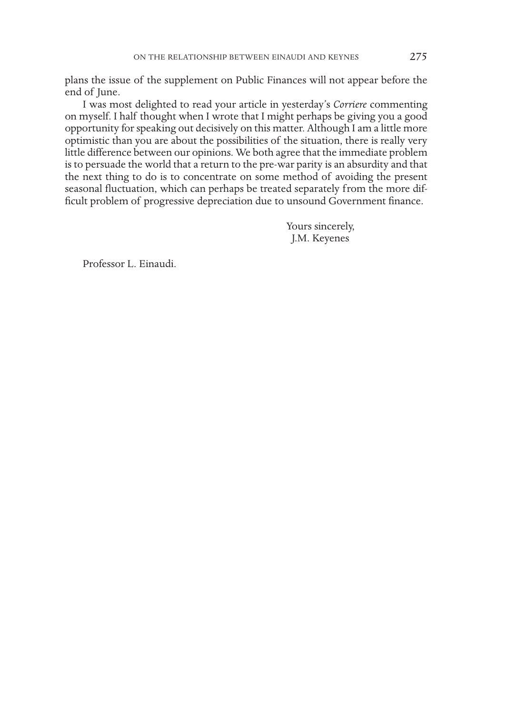plans the issue of the supplement on Public Finances will not appear before the end of June.

I was most delighted to read your article in yesterday's *Corriere* commenting on myself. I half thought when I wrote that I might perhaps be giving you a good opportunity for speaking out decisively on this matter. Although I am a little more optimistic than you are about the possibilities of the situation, there is really very little difference between our opinions. We both agree that the immediate problem is to persuade the world that a return to the pre-war parity is an absurdity and that the next thing to do is to concentrate on some method of avoiding the present seasonal fluctuation, which can perhaps be treated separately from the more difficult problem of progressive depreciation due to unsound Government finance.

> Yours sincerely, J.M. Keyenes

Professor L. Einaudi.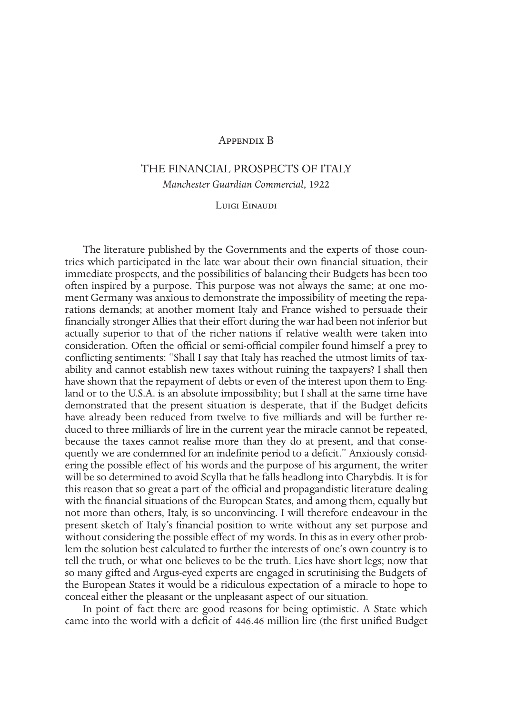## Appendix B

# THE FINANCIAL PROSPECTS OF ITALY *Manchester Guardian Commercial*, 1922

#### Luigi Einaudi

The literature published by the Governments and the experts of those countries which participated in the late war about their own financial situation, their immediate prospects, and the possibilities of balancing their Budgets has been too often inspired by a purpose. This purpose was not always the same; at one moment Germany was anxious to demonstrate the impossibility of meeting the reparations demands; at another moment Italy and France wished to persuade their financially stronger Allies that their effort during the war had been not inferior but actually superior to that of the richer nations if relative wealth were taken into consideration. Often the official or semi-official compiler found himself a prey to conflicting sentiments: "Shall I say that Italy has reached the utmost limits of taxability and cannot establish new taxes without ruining the taxpayers? I shall then have shown that the repayment of debts or even of the interest upon them to England or to the U.S.A. is an absolute impossibility; but I shall at the same time have demonstrated that the present situation is desperate, that if the Budget deficits have already been reduced from twelve to five milliards and will be further reduced to three milliards of lire in the current year the miracle cannot be repeated, because the taxes cannot realise more than they do at present, and that consequently we are condemned for an indefinite period to a deficit." Anxiously considering the possible effect of his words and the purpose of his argument, the writer will be so determined to avoid Scylla that he falls headlong into Charybdis. It is for this reason that so great a part of the official and propagandistic literature dealing with the financial situations of the European States, and among them, equally but not more than others, Italy, is so unconvincing. I will therefore endeavour in the present sketch of Italy's financial position to write without any set purpose and without considering the possible effect of my words. In this as in every other problem the solution best calculated to further the interests of one's own country is to tell the truth, or what one believes to be the truth. Lies have short legs; now that so many gifted and Argus-eyed experts are engaged in scrutinising the Budgets of the European States it would be a ridiculous expectation of a miracle to hope to conceal either the pleasant or the unpleasant aspect of our situation.

In point of fact there are good reasons for being optimistic. A State which came into the world with a deficit of 446.46 million lire (the first unified Budget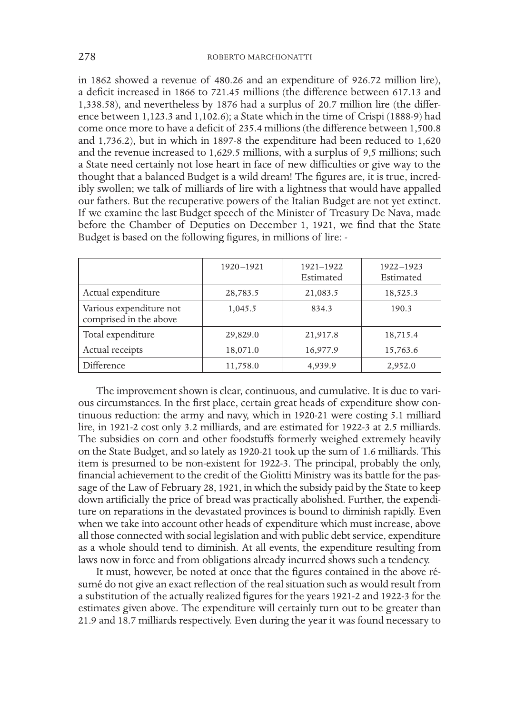in 1862 showed a revenue of 480.26 and an expenditure of 926.72 million lire), a deficit increased in 1866 to 721.45 millions (the difference between 617.13 and 1,338.58), and nevertheless by 1876 had a surplus of 20.7 million lire (the difference between 1,123.3 and 1,102.6); a State which in the time of Crispi (1888-9) had come once more to have a deficit of 235.4 millions (the difference between 1,500.8 and 1,736.2), but in which in 1897-8 the expenditure had been reduced to 1,620 and the revenue increased to 1,629.5 millions, with a surplus of 9,5 millions; such a State need certainly not lose heart in face of new difficulties or give way to the thought that a balanced Budget is a wild dream! The figures are, it is true, incredibly swollen; we talk of milliards of lire with a lightness that would have appalled our fathers. But the recuperative powers of the Italian Budget are not yet extinct. If we examine the last Budget speech of the Minister of Treasury De Nava, made before the Chamber of Deputies on December 1, 1921, we find that the State Budget is based on the following figures, in millions of lire: -

|                                                   | 1920-1921 | 1921-1922<br>Estimated | 1922-1923<br>Estimated |
|---------------------------------------------------|-----------|------------------------|------------------------|
| Actual expenditure                                | 28,783.5  | 21,083.5               | 18,525.3               |
| Various expenditure not<br>comprised in the above | 1,045.5   | 834.3                  | 190.3                  |
| Total expenditure                                 | 29,829.0  | 21,917.8               | 18,715.4               |
| Actual receipts                                   | 18,071.0  | 16,977.9               | 15,763.6               |
| Difference                                        | 11,758.0  | 4,939.9                | 2,952.0                |

The improvement shown is clear, continuous, and cumulative. It is due to various circumstances. In the first place, certain great heads of expenditure show continuous reduction: the army and navy, which in 1920-21 were costing 5.1 milliard lire, in 1921-2 cost only 3.2 milliards, and are estimated for 1922-3 at 2.5 milliards. The subsidies on corn and other foodstuffs formerly weighed extremely heavily on the State Budget, and so lately as 1920-21 took up the sum of 1.6 milliards. This item is presumed to be non-existent for 1922-3. The principal, probably the only, financial achievement to the credit of the Giolitti Ministry was its battle for the passage of the Law of February 28, 1921, in which the subsidy paid by the State to keep down artificially the price of bread was practically abolished. Further, the expenditure on reparations in the devastated provinces is bound to diminish rapidly. Even when we take into account other heads of expenditure which must increase, above all those connected with social legislation and with public debt service, expenditure as a whole should tend to diminish. At all events, the expenditure resulting from laws now in force and from obligations already incurred shows such a tendency.

It must, however, be noted at once that the figures contained in the above résumé do not give an exact reflection of the real situation such as would result from a substitution of the actually realized figures for the years 1921-2 and 1922-3 for the estimates given above. The expenditure will certainly turn out to be greater than 21.9 and 18.7 milliards respectively. Even during the year it was found necessary to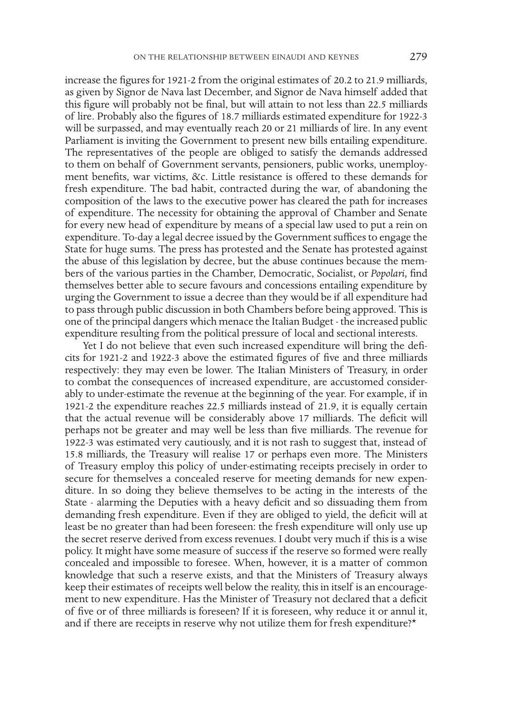increase the figures for 1921-2 from the original estimates of 20.2 to 21.9 milliards, as given by Signor de Nava last December, and Signor de Nava himself added that this figure will probably not be final, but will attain to not less than 22.5 milliards of lire. Probably also the figures of 18.7 milliards estimated expenditure for 1922-3 will be surpassed, and may eventually reach 20 or 21 milliards of lire. In any event Parliament is inviting the Government to present new bills entailing expenditure. The representatives of the people are obliged to satisfy the demands addressed to them on behalf of Government servants, pensioners, public works, unemployment benefits, war victims, &c. Little resistance is offered to these demands for fresh expenditure. The bad habit, contracted during the war, of abandoning the composition of the laws to the executive power has cleared the path for increases of expenditure. The necessity for obtaining the approval of Chamber and Senate for every new head of expenditure by means of a special law used to put a rein on expenditure. To-day a legal decree issued by the Government suffices to engage the State for huge sums. The press has protested and the Senate has protested against the abuse of this legislation by decree, but the abuse continues because the members of the various parties in the Chamber, Democratic, Socialist, or *Popolari,* find themselves better able to secure favours and concessions entailing expenditure by urging the Government to issue a decree than they would be if all expenditure had to pass through public discussion in both Chambers before being approved. This is one of the principal dangers which menace the Italian Budget - the increased public expenditure resulting from the political pressure of local and sectional interests.

Yet I do not believe that even such increased expenditure will bring the deficits for 1921-2 and 1922-3 above the estimated figures of five and three milliards respectively: they may even be lower. The Italian Ministers of Treasury, in order to combat the consequences of increased expenditure, are accustomed considerably to under-estimate the revenue at the beginning of the year. For example, if in 1921-2 the expenditure reaches 22.5 milliards instead of 21.9, it is equally certain that the actual revenue will be considerably above 17 milliards. The deficit will perhaps not be greater and may well be less than five milliards. The revenue for 1922-3 was estimated very cautiously, and it is not rash to suggest that, instead of 15.8 milliards, the Treasury will realise 17 or perhaps even more. The Ministers of Treasury employ this policy of under-estimating receipts precisely in order to secure for themselves a concealed reserve for meeting demands for new expenditure. In so doing they believe themselves to be acting in the interests of the State - alarming the Deputies with a heavy deficit and so dissuading them from demanding fresh expenditure. Even if they are obliged to yield, the deficit will at least be no greater than had been foreseen: the fresh expenditure will only use up the secret reserve derived from excess revenues. I doubt very much if this is a wise policy. It might have some measure of success if the reserve so formed were really concealed and impossible to foresee. When, however, it is a matter of common knowledge that such a reserve exists, and that the Ministers of Treasury always keep their estimates of receipts well below the reality, this in itself is an encouragement to new expenditure. Has the Minister of Treasury not declared that a deficit of five or of three milliards is foreseen? If it is foreseen, why reduce it or annul it, and if there are receipts in reserve why not utilize them for fresh expenditure?\*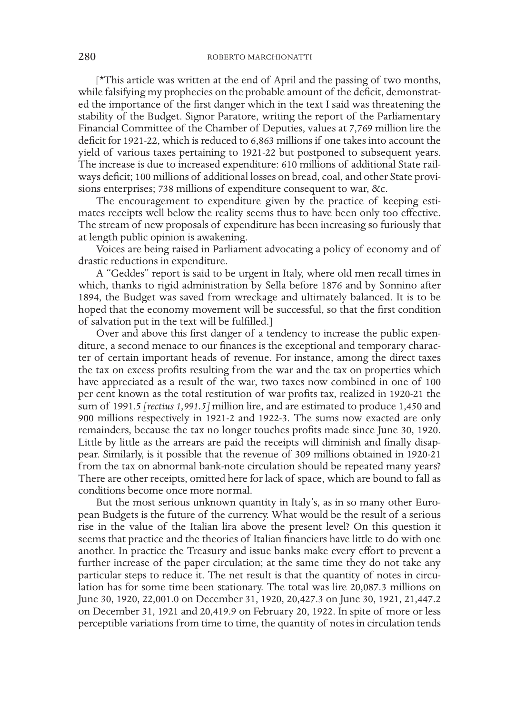[\*This article was written at the end of April and the passing of two months, while falsifying my prophecies on the probable amount of the deficit, demonstrated the importance of the first danger which in the text I said was threatening the stability of the Budget. Signor Paratore, writing the report of the Parliamentary Financial Committee of the Chamber of Deputies, values at 7,769 million lire the deficit for 1921-22, which is reduced to 6,863 millions if one takes into account the yield of various taxes pertaining to 1921-22 but postponed to subsequent years. The increase is due to increased expenditure: 610 millions of additional State railways deficit; 100 millions of additional losses on bread, coal, and other State provisions enterprises; 738 millions of expenditure consequent to war, &c.

The encouragement to expenditure given by the practice of keeping estimates receipts well below the reality seems thus to have been only too effective. The stream of new proposals of expenditure has been increasing so furiously that at length public opinion is awakening.

Voices are being raised in Parliament advocating a policy of economy and of drastic reductions in expenditure.

A "Geddes" report is said to be urgent in Italy, where old men recall times in which, thanks to rigid administration by Sella before 1876 and by Sonnino after 1894, the Budget was saved from wreckage and ultimately balanced. It is to be hoped that the economy movement will be successful, so that the first condition of salvation put in the text will be fulfilled.]

Over and above this first danger of a tendency to increase the public expenditure, a second menace to our finances is the exceptional and temporary character of certain important heads of revenue. For instance, among the direct taxes the tax on excess profits resulting from the war and the tax on properties which have appreciated as a result of the war, two taxes now combined in one of 100 per cent known as the total restitution of war profits tax, realized in 1920-21 the sum of 1991.5 *[rectius 1,991.5]* million lire, and are estimated to produce 1,450 and 900 millions respectively in 1921-2 and 1922-3. The sums now exacted are only remainders, because the tax no longer touches profits made since June 30, 1920. Little by little as the arrears are paid the receipts will diminish and finally disappear. Similarly, is it possible that the revenue of 309 millions obtained in 1920-21 from the tax on abnormal bank-note circulation should be repeated many years? There are other receipts, omitted here for lack of space, which are bound to fall as conditions become once more normal.

But the most serious unknown quantity in Italy's, as in so many other European Budgets is the future of the currency. What would be the result of a serious rise in the value of the Italian lira above the present level? On this question it seems that practice and the theories of Italian financiers have little to do with one another. In practice the Treasury and issue banks make every effort to prevent a further increase of the paper circulation; at the same time they do not take any particular steps to reduce it. The net result is that the quantity of notes in circulation has for some time been stationary. The total was lire 20,087.3 millions on June 30, 1920, 22,001.0 on December 31, 1920, 20,427.3 on June 30, 1921, 21,447.2 on December 31, 1921 and 20,419.9 on February 20, 1922. In spite of more or less perceptible variations from time to time, the quantity of notes in circulation tends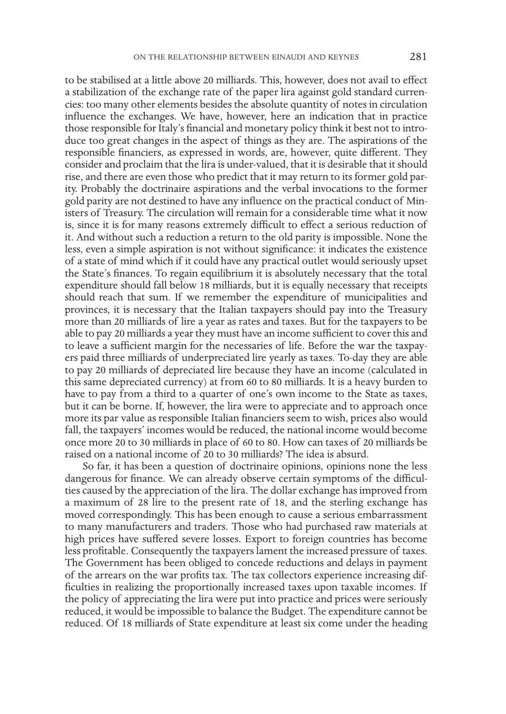to be stabilised at a little above 20 milliards. This, however, does not avail to effect a stabilization of the exchange rate of the paper lira against gold standard currencies: too many other elements besides the absolute quantity of notes in circulation influence the exchanges. We have, however, here an indication that in practice those responsible for Italy's financial and monetary policy think it best not to introduce too great changes in the aspect of things as they are. The aspirations of the responsible financiers, as expressed in words, are, however, quite different. They consider and proclaim that the lira is under-valued, that it is desirable that it should rise, and there are even those who predict that it may return to its former gold parity. Probably the doctrinaire aspirations and the verbal invocations to the former gold parity are not destined to have any influence on the practical conduct of Ministers of Treasury. The circulation will remain for a considerable time what it now is, since it is for many reasons extremely difficult to effect a serious reduction of it. And without such a reduction a return to the old parity is impossible. None the less, even a simple aspiration is not without significance: it indicates the existence of a state of mind which if it could have any practical outlet would seriously upset the State's finances. To regain equilibrium it is absolutely necessary that the total expenditure should fall below 18 milliards, but it is equally necessary that receipts should reach that sum. If we remember the expenditure of municipalities and provinces, it is necessary that the Italian taxpayers should pay into the Treasury more than 20 milliards of lire a year as rates and taxes. But for the taxpayers to be able to pay 20 milliards a year they must have an income sufficient to cover this and to leave a sufficient margin for the necessaries of life. Before the war the taxpayers paid three milliards of underpreciated lire yearly as taxes. To-day they are able to pay 20 milliards of depreciated lire because they have an income (calculated in this same depreciated currency) at from 60 to 80 milliards. It is a heavy burden to have to pay from a third to a quarter of one's own income to the State as taxes, but it can be borne. If, however, the lira were to appreciate and to approach once more its par value as responsible Italian financiers seem to wish, prices also would fall, the taxpayers' incomes would be reduced, the national income would become once more 20 to 30 milliards in place of 60 to 80. How can taxes of 20 milliards be raised on a national income of 20 to 30 milliards? The idea is absurd.

So far, it has been a question of doctrinaire opinions, opinions none the less dangerous for finance. We can already observe certain symptoms of the difficulties caused by the appreciation of the lira. The dollar exchange has improved from a maximum of 28 lire to the present rate of 18, and the sterling exchange has moved correspondingly. This has been enough to cause a serious embarrassment to many manufacturers and traders. Those who had purchased raw materials at high prices have suffered severe losses. Export to foreign countries has become less profitable. Consequently the taxpayers lament the increased pressure of taxes. The Government has been obliged to concede reductions and delays in payment of the arrears on the war profits tax. The tax collectors experience increasing difficulties in realizing the proportionally increased taxes upon taxable incomes. If the policy of appreciating the lira were put into practice and prices were seriously reduced, it would be impossible to balance the Budget. The expenditure cannot be reduced. Of 18 milliards of State expenditure at least six come under the heading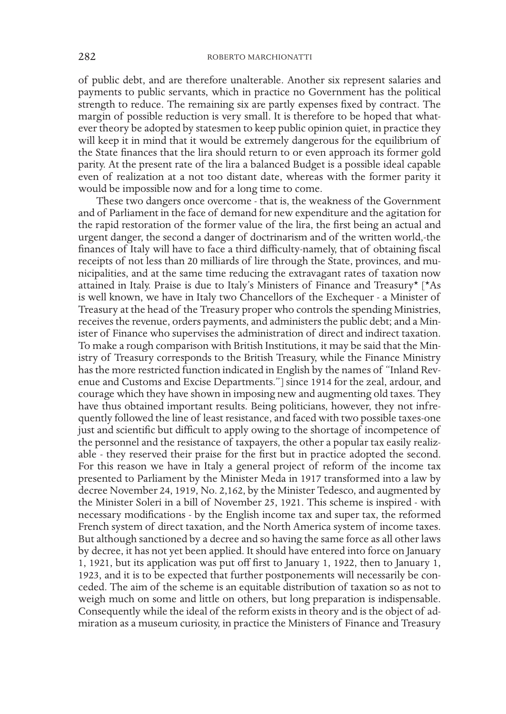of public debt, and are therefore unalterable. Another six represent salaries and payments to public servants, which in practice no Government has the political strength to reduce. The remaining six are partly expenses fixed by contract. The margin of possible reduction is very small. It is therefore to be hoped that whatever theory be adopted by statesmen to keep public opinion quiet, in practice they will keep it in mind that it would be extremely dangerous for the equilibrium of the State finances that the lira should return to or even approach its former gold parity. At the present rate of the lira a balanced Budget is a possible ideal capable even of realization at a not too distant date, whereas with the former parity it would be impossible now and for a long time to come.

These two dangers once overcome - that is, the weakness of the Government and of Parliament in the face of demand for new expenditure and the agitation for the rapid restoration of the former value of the lira, the first being an actual and urgent danger, the second a danger of doctrinarism and of the written world,-the finances of Italy will have to face a third difficulty-namely, that of obtaining fiscal receipts of not less than 20 milliards of lire through the State, provinces, and municipalities, and at the same time reducing the extravagant rates of taxation now attained in Italy. Praise is due to Italy's Ministers of Finance and Treasury\* [\*As is well known, we have in Italy two Chancellors of the Exchequer - a Minister of Treasury at the head of the Treasury proper who controls the spending Ministries, receives the revenue, orders payments, and administers the public debt; and a Minister of Finance who supervises the administration of direct and indirect taxation. To make a rough comparison with British Institutions, it may be said that the Ministry of Treasury corresponds to the British Treasury, while the Finance Ministry has the more restricted function indicated in English by the names of "Inland Revenue and Customs and Excise Departments."] since 1914 for the zeal, ardour, and courage which they have shown in imposing new and augmenting old taxes. They have thus obtained important results. Being politicians, however, they not infrequently followed the line of least resistance, and faced with two possible taxes-one just and scientific but difficult to apply owing to the shortage of incompetence of the personnel and the resistance of taxpayers, the other a popular tax easily realizable - they reserved their praise for the first but in practice adopted the second. For this reason we have in Italy a general project of reform of the income tax presented to Parliament by the Minister Meda in 1917 transformed into a law by decree November 24, 1919, No. 2,162, by the Minister Tedesco, and augmented by the Minister Soleri in a bill of November 25, 1921. This scheme is inspired - with necessary modifications - by the English income tax and super tax, the reformed French system of direct taxation, and the North America system of income taxes. But although sanctioned by a decree and so having the same force as all other laws by decree, it has not yet been applied. It should have entered into force on January 1, 1921, but its application was put off first to January 1, 1922, then to January 1, 1923, and it is to be expected that further postponements will necessarily be conceded. The aim of the scheme is an equitable distribution of taxation so as not to weigh much on some and little on others, but long preparation is indispensable. Consequently while the ideal of the reform exists in theory and is the object of admiration as a museum curiosity, in practice the Ministers of Finance and Treasury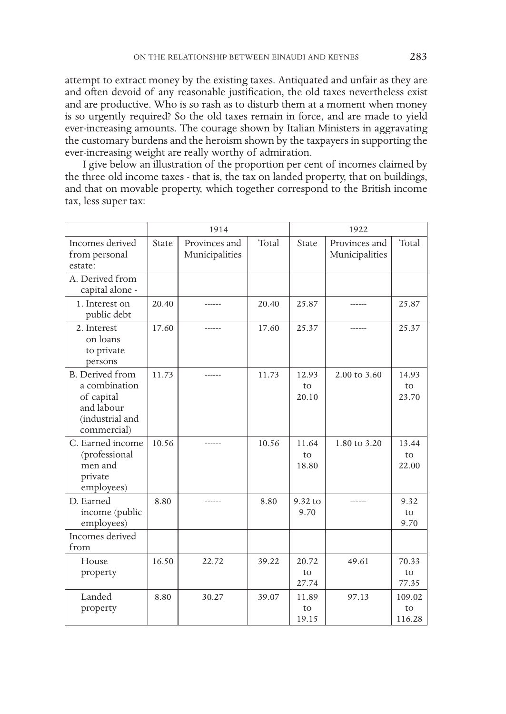attempt to extract money by the existing taxes. Antiquated and unfair as they are and often devoid of any reasonable justification, the old taxes nevertheless exist and are productive. Who is so rash as to disturb them at a moment when money is so urgently required? So the old taxes remain in force, and are made to yield ever-increasing amounts. The courage shown by Italian Ministers in aggravating the customary burdens and the heroism shown by the taxpayers in supporting the ever-increasing weight are really worthy of admiration.

I give below an illustration of the proportion per cent of incomes claimed by the three old income taxes - that is, the tax on landed property, that on buildings, and that on movable property, which together correspond to the British income tax, less super tax:

|                                                                                                       | 1914  |                                 | 1922  |                      |                                 |                        |
|-------------------------------------------------------------------------------------------------------|-------|---------------------------------|-------|----------------------|---------------------------------|------------------------|
| Incomes derived<br>from personal<br>estate:                                                           | State | Provinces and<br>Municipalities | Total | State                | Provinces and<br>Municipalities | Total                  |
| A. Derived from<br>capital alone -                                                                    |       |                                 |       |                      |                                 |                        |
| 1. Interest on<br>public debt                                                                         | 20.40 | ------                          | 20.40 | 25.87                | ------                          | 25.87                  |
| 2. Interest<br>on loans<br>to private<br>persons                                                      | 17.60 |                                 | 17.60 | 25.37                |                                 | 25.37                  |
| <b>B.</b> Derived from<br>a combination<br>of capital<br>and labour<br>(industrial and<br>commercial) | 11.73 | ------                          | 11.73 | 12.93<br>to<br>20.10 | 2.00 to 3.60                    | 14.93<br>to<br>23.70   |
| C. Earned income<br>(professional<br>men and<br>private<br>employees)                                 | 10.56 | ------                          | 10.56 | 11.64<br>to<br>18.80 | 1.80 to 3.20                    | 13.44<br>to<br>22.00   |
| D. Earned<br>income (public<br>employees)                                                             | 8.80  |                                 | 8.80  | 9.32 to<br>9.70      |                                 | 9.32<br>to<br>9.70     |
| Incomes derived<br>from                                                                               |       |                                 |       |                      |                                 |                        |
| House<br>property                                                                                     | 16.50 | 22.72                           | 39.22 | 20.72<br>to<br>27.74 | 49.61                           | 70.33<br>to<br>77.35   |
| Landed<br>property                                                                                    | 8.80  | 30.27                           | 39.07 | 11.89<br>to<br>19.15 | 97.13                           | 109.02<br>to<br>116.28 |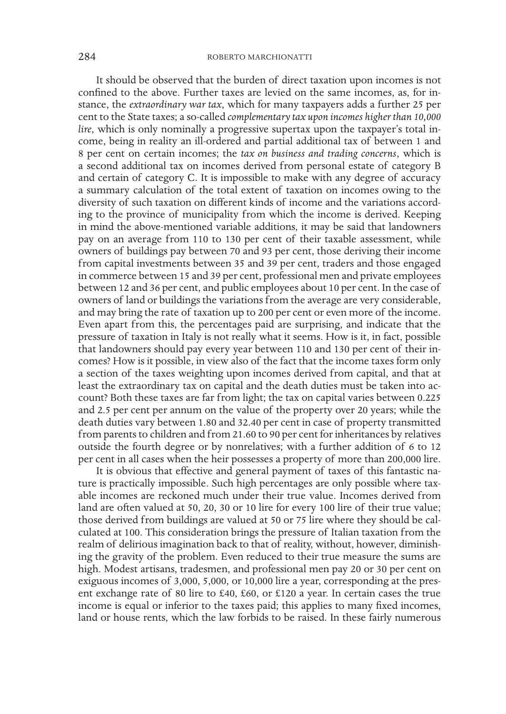It should be observed that the burden of direct taxation upon incomes is not confined to the above. Further taxes are levied on the same incomes, as, for instance, the *extraordinary war tax*, which for many taxpayers adds a further 25 per cent to the State taxes; a so-called *complementary tax upon incomes higher than 10,000 lire*, which is only nominally a progressive supertax upon the taxpayer's total income, being in reality an ill-ordered and partial additional tax of between 1 and 8 per cent on certain incomes; the *tax on business and trading concerns*, which is a second additional tax on incomes derived from personal estate of category B and certain of category C. It is impossible to make with any degree of accuracy a summary calculation of the total extent of taxation on incomes owing to the diversity of such taxation on different kinds of income and the variations according to the province of municipality from which the income is derived. Keeping in mind the above-mentioned variable additions, it may be said that landowners pay on an average from 110 to 130 per cent of their taxable assessment, while owners of buildings pay between 70 and 93 per cent, those deriving their income from capital investments between 35 and 39 per cent, traders and those engaged in commerce between 15 and 39 per cent, professional men and private employees between 12 and 36 per cent, and public employees about 10 per cent. In the case of owners of land or buildings the variations from the average are very considerable, and may bring the rate of taxation up to 200 per cent or even more of the income. Even apart from this, the percentages paid are surprising, and indicate that the pressure of taxation in Italy is not really what it seems. How is it, in fact, possible that landowners should pay every year between 110 and 130 per cent of their incomes? How is it possible, in view also of the fact that the income taxes form only a section of the taxes weighting upon incomes derived from capital, and that at least the extraordinary tax on capital and the death duties must be taken into account? Both these taxes are far from light; the tax on capital varies between 0.225 and 2.5 per cent per annum on the value of the property over 20 years; while the death duties vary between 1.80 and 32.40 per cent in case of property transmitted from parents to children and from 21.60 to 90 per cent for inheritances by relatives outside the fourth degree or by nonrelatives; with a further addition of 6 to 12 per cent in all cases when the heir possesses a property of more than 200,000 lire.

It is obvious that effective and general payment of taxes of this fantastic nature is practically impossible. Such high percentages are only possible where taxable incomes are reckoned much under their true value. Incomes derived from land are often valued at 50, 20, 30 or 10 lire for every 100 lire of their true value; those derived from buildings are valued at 50 or 75 lire where they should be calculated at 100. This consideration brings the pressure of Italian taxation from the realm of delirious imagination back to that of reality, without, however, diminishing the gravity of the problem. Even reduced to their true measure the sums are high. Modest artisans, tradesmen, and professional men pay 20 or 30 per cent on exiguous incomes of 3,000, 5,000, or 10,000 lire a year, corresponding at the present exchange rate of 80 lire to £40, £60, or £120 a year. In certain cases the true income is equal or inferior to the taxes paid; this applies to many fixed incomes, land or house rents, which the law forbids to be raised. In these fairly numerous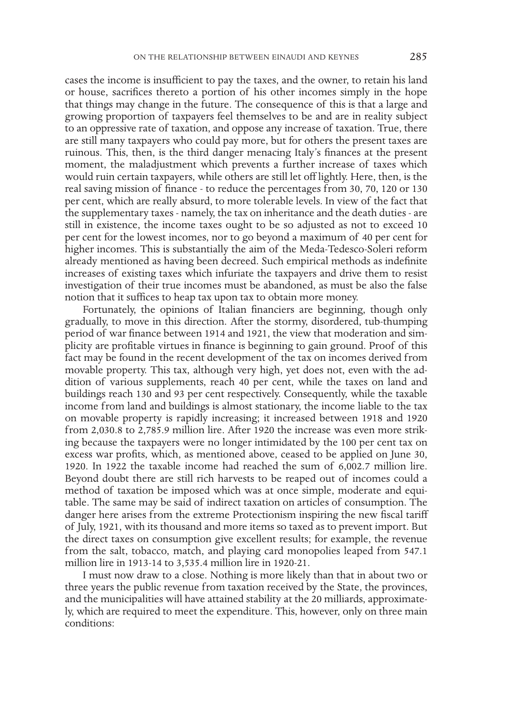cases the income is insufficient to pay the taxes, and the owner, to retain his land or house, sacrifices thereto a portion of his other incomes simply in the hope that things may change in the future. The consequence of this is that a large and growing proportion of taxpayers feel themselves to be and are in reality subject to an oppressive rate of taxation, and oppose any increase of taxation. True, there are still many taxpayers who could pay more, but for others the present taxes are ruinous. This, then, is the third danger menacing Italy's finances at the present moment, the maladjustment which prevents a further increase of taxes which would ruin certain taxpayers, while others are still let off lightly. Here, then, is the real saving mission of finance - to reduce the percentages from 30, 70, 120 or 130 per cent, which are really absurd, to more tolerable levels. In view of the fact that the supplementary taxes - namely, the tax on inheritance and the death duties - are still in existence, the income taxes ought to be so adjusted as not to exceed 10 per cent for the lowest incomes, nor to go beyond a maximum of 40 per cent for higher incomes. This is substantially the aim of the Meda-Tedesco-Soleri reform already mentioned as having been decreed. Such empirical methods as indefinite increases of existing taxes which infuriate the taxpayers and drive them to resist investigation of their true incomes must be abandoned, as must be also the false notion that it suffices to heap tax upon tax to obtain more money.

Fortunately, the opinions of Italian financiers are beginning, though only gradually, to move in this direction. After the stormy, disordered, tub-thumping period of war finance between 1914 and 1921, the view that moderation and simplicity are profitable virtues in finance is beginning to gain ground. Proof of this fact may be found in the recent development of the tax on incomes derived from movable property. This tax, although very high, yet does not, even with the addition of various supplements, reach 40 per cent, while the taxes on land and buildings reach 130 and 93 per cent respectively. Consequently, while the taxable income from land and buildings is almost stationary, the income liable to the tax on movable property is rapidly increasing; it increased between 1918 and 1920 from 2,030.8 to 2,785.9 million lire. After 1920 the increase was even more striking because the taxpayers were no longer intimidated by the 100 per cent tax on excess war profits, which, as mentioned above, ceased to be applied on June 30, 1920. In 1922 the taxable income had reached the sum of 6,002.7 million lire. Beyond doubt there are still rich harvests to be reaped out of incomes could a method of taxation be imposed which was at once simple, moderate and equitable. The same may be said of indirect taxation on articles of consumption. The danger here arises from the extreme Protectionism inspiring the new fiscal tariff of July, 1921, with its thousand and more items so taxed as to prevent import. But the direct taxes on consumption give excellent results; for example, the revenue from the salt, tobacco, match, and playing card monopolies leaped from 547.1 million lire in 1913-14 to 3,535.4 million lire in 1920-21.

I must now draw to a close. Nothing is more likely than that in about two or three years the public revenue from taxation received by the State, the provinces, and the municipalities will have attained stability at the 20 milliards, approximately, which are required to meet the expenditure. This, however, only on three main conditions: